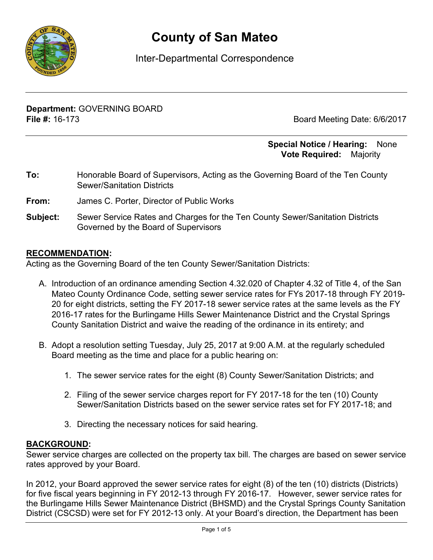

# **County of San Mateo**

# Inter-Departmental Correspondence

**Department:** GOVERNING BOARD **File #:** 16-173 Board Meeting Date: 6/6/2017

#### **Special Notice / Hearing:** None\_\_ **Vote Required:** Majority

- **To:** Honorable Board of Supervisors, Acting as the Governing Board of the Ten County Sewer/Sanitation Districts
- **From:** James C. Porter, Director of Public Works
- **Subject:** Sewer Service Rates and Charges for the Ten County Sewer/Sanitation Districts Governed by the Board of Supervisors

#### **RECOMMENDATION:**

Acting as the Governing Board of the ten County Sewer/Sanitation Districts:

- A. Introduction of an ordinance amending Section 4.32.020 of Chapter 4.32 of Title 4, of the San Mateo County Ordinance Code, setting sewer service rates for FYs 2017-18 through FY 2019- 20 for eight districts, setting the FY 2017-18 sewer service rates at the same levels as the FY 2016-17 rates for the Burlingame Hills Sewer Maintenance District and the Crystal Springs County Sanitation District and waive the reading of the ordinance in its entirety; and
- B. Adopt a resolution setting Tuesday, July 25, 2017 at 9:00 A.M. at the regularly scheduled Board meeting as the time and place for a public hearing on:
	- 1. The sewer service rates for the eight (8) County Sewer/Sanitation Districts; and
	- 2. Filing of the sewer service charges report for FY 2017-18 for the ten (10) County Sewer/Sanitation Districts based on the sewer service rates set for FY 2017-18; and
	- 3. Directing the necessary notices for said hearing.

#### **BACKGROUND:**

Sewer service charges are collected on the property tax bill. The charges are based on sewer service rates approved by your Board.

In 2012, your Board approved the sewer service rates for eight (8) of the ten (10) districts (Districts) for five fiscal years beginning in FY 2012-13 through FY 2016-17. However, sewer service rates for the Burlingame Hills Sewer Maintenance District (BHSMD) and the Crystal Springs County Sanitation District (CSCSD) were set for FY 2012-13 only. At your Board's direction, the Department has been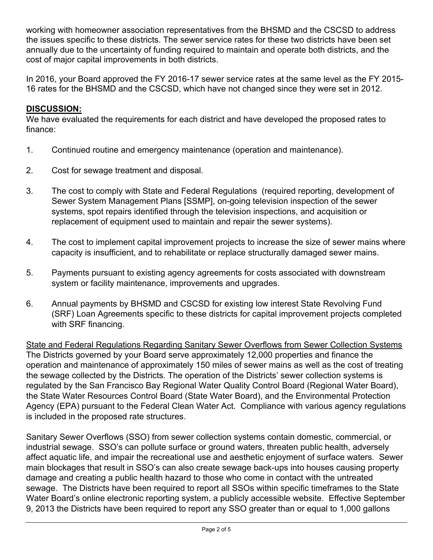working with homeowner association representatives from the BHSMD and the CSCSD to address the issues specific to these districts. The sewer service rates for these two districts have been set annually due to the uncertainty of funding required to maintain and operate both districts, and the cost of major capital improvements in both districts.

In 2016, your Board approved the FY 2016-17 sewer service rates at the same level as the FY 2015- 16 rates for the BHSMD and the CSCSD, which have not changed since they were set in 2012.

## **DISCUSSION:**

We have evaluated the requirements for each district and have developed the proposed rates to finance:

- 1. Continued routine and emergency maintenance (operation and maintenance).
- 2. Cost for sewage treatment and disposal.
- 3. The cost to comply with State and Federal Regulations (required reporting, development of Sewer System Management Plans [SSMP], on-going television inspection of the sewer systems, spot repairs identified through the television inspections, and acquisition or replacement of equipment used to maintain and repair the sewer systems).
- 4. The cost to implement capital improvement projects to increase the size of sewer mains where capacity is insufficient, and to rehabilitate or replace structurally damaged sewer mains.
- 5. Payments pursuant to existing agency agreements for costs associated with downstream system or facility maintenance, improvements and upgrades.
- 6. Annual payments by BHSMD and CSCSD for existing low interest State Revolving Fund (SRF) Loan Agreements specific to these districts for capital improvement projects completed with SRF financing.

State and Federal Regulations Regarding Sanitary Sewer Overflows from Sewer Collection Systems The Districts governed by your Board serve approximately 12,000 properties and finance the operation and maintenance of approximately 150 miles of sewer mains as well as the cost of treating the sewage collected by the Districts. The operation of the Districts' sewer collection systems is regulated by the San Francisco Bay Regional Water Quality Control Board (Regional Water Board), the State Water Resources Control Board (State Water Board), and the Environmental Protection Agency (EPA) pursuant to the Federal Clean Water Act. Compliance with various agency regulations is included in the proposed rate structures.

Sanitary Sewer Overflows (SSO) from sewer collection systems contain domestic, commercial, or industrial sewage. SSO's can pollute surface or ground waters, threaten public health, adversely affect aquatic life, and impair the recreational use and aesthetic enjoyment of surface waters. Sewer main blockages that result in SSO's can also create sewage back-ups into houses causing property damage and creating a public health hazard to those who come in contact with the untreated sewage. The Districts have been required to report all SSOs within specific timeframes to the State Water Board's online electronic reporting system, a publicly accessible website. Effective September 9, 2013 the Districts have been required to report any SSO greater than or equal to 1,000 gallons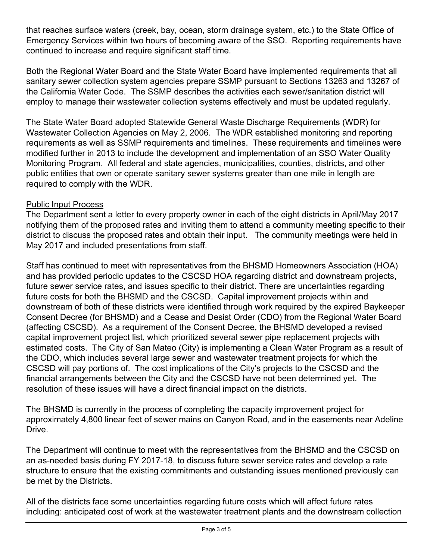that reaches surface waters (creek, bay, ocean, storm drainage system, etc.) to the State Office of Emergency Services within two hours of becoming aware of the SSO. Reporting requirements have continued to increase and require significant staff time.

Both the Regional Water Board and the State Water Board have implemented requirements that all sanitary sewer collection system agencies prepare SSMP pursuant to Sections 13263 and 13267 of the California Water Code. The SSMP describes the activities each sewer/sanitation district will employ to manage their wastewater collection systems effectively and must be updated regularly.

The State Water Board adopted Statewide General Waste Discharge Requirements (WDR) for Wastewater Collection Agencies on May 2, 2006. The WDR established monitoring and reporting requirements as well as SSMP requirements and timelines. These requirements and timelines were modified further in 2013 to include the development and implementation of an SSO Water Quality Monitoring Program. All federal and state agencies, municipalities, counties, districts, and other public entities that own or operate sanitary sewer systems greater than one mile in length are required to comply with the WDR.

### Public Input Process

The Department sent a letter to every property owner in each of the eight districts in April/May 2017 notifying them of the proposed rates and inviting them to attend a community meeting specific to their district to discuss the proposed rates and obtain their input. The community meetings were held in May 2017 and included presentations from staff.

Staff has continued to meet with representatives from the BHSMD Homeowners Association (HOA) and has provided periodic updates to the CSCSD HOA regarding district and downstream projects, future sewer service rates, and issues specific to their district. There are uncertainties regarding future costs for both the BHSMD and the CSCSD. Capital improvement projects within and downstream of both of these districts were identified through work required by the expired Baykeeper Consent Decree (for BHSMD) and a Cease and Desist Order (CDO) from the Regional Water Board (affecting CSCSD). As a requirement of the Consent Decree, the BHSMD developed a revised capital improvement project list, which prioritized several sewer pipe replacement projects with estimated costs. The City of San Mateo (City) is implementing a Clean Water Program as a result of the CDO, which includes several large sewer and wastewater treatment projects for which the CSCSD will pay portions of. The cost implications of the City's projects to the CSCSD and the financial arrangements between the City and the CSCSD have not been determined yet. The resolution of these issues will have a direct financial impact on the districts.

The BHSMD is currently in the process of completing the capacity improvement project for approximately 4,800 linear feet of sewer mains on Canyon Road, and in the easements near Adeline Drive.

The Department will continue to meet with the representatives from the BHSMD and the CSCSD on an as-needed basis during FY 2017-18, to discuss future sewer service rates and develop a rate structure to ensure that the existing commitments and outstanding issues mentioned previously can be met by the Districts.

All of the districts face some uncertainties regarding future costs which will affect future rates including: anticipated cost of work at the wastewater treatment plants and the downstream collection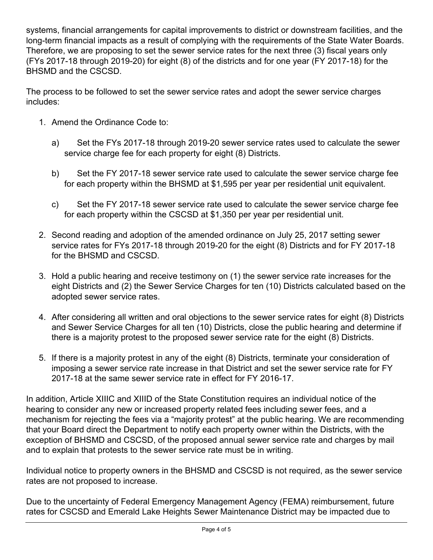systems, financial arrangements for capital improvements to district or downstream facilities, and the long-term financial impacts as a result of complying with the requirements of the State Water Boards. Therefore, we are proposing to set the sewer service rates for the next three (3) fiscal years only (FYs 2017-18 through 2019-20) for eight (8) of the districts and for one year (FY 2017-18) for the BHSMD and the CSCSD.

The process to be followed to set the sewer service rates and adopt the sewer service charges includes:

- 1. Amend the Ordinance Code to:
	- a) Set the FYs 2017-18 through 2019-20 sewer service rates used to calculate the sewer service charge fee for each property for eight (8) Districts.
	- b) Set the FY 2017-18 sewer service rate used to calculate the sewer service charge fee for each property within the BHSMD at \$1,595 per year per residential unit equivalent.
	- c) Set the FY 2017-18 sewer service rate used to calculate the sewer service charge fee for each property within the CSCSD at \$1,350 per year per residential unit.
- 2. Second reading and adoption of the amended ordinance on July 25, 2017 setting sewer service rates for FYs 2017-18 through 2019-20 for the eight (8) Districts and for FY 2017-18 for the BHSMD and CSCSD.
- 3. Hold a public hearing and receive testimony on (1) the sewer service rate increases for the eight Districts and (2) the Sewer Service Charges for ten (10) Districts calculated based on the adopted sewer service rates.
- 4. After considering all written and oral objections to the sewer service rates for eight (8) Districts and Sewer Service Charges for all ten (10) Districts, close the public hearing and determine if there is a majority protest to the proposed sewer service rate for the eight (8) Districts.
- 5. If there is a majority protest in any of the eight (8) Districts, terminate your consideration of imposing a sewer service rate increase in that District and set the sewer service rate for FY 2017-18 at the same sewer service rate in effect for FY 2016-17.

In addition, Article XIIIC and XIIID of the State Constitution requires an individual notice of the hearing to consider any new or increased property related fees including sewer fees, and a mechanism for rejecting the fees via a "majority protest" at the public hearing. We are recommending that your Board direct the Department to notify each property owner within the Districts, with the exception of BHSMD and CSCSD, of the proposed annual sewer service rate and charges by mail and to explain that protests to the sewer service rate must be in writing.

Individual notice to property owners in the BHSMD and CSCSD is not required, as the sewer service rates are not proposed to increase.

Due to the uncertainty of Federal Emergency Management Agency (FEMA) reimbursement, future rates for CSCSD and Emerald Lake Heights Sewer Maintenance District may be impacted due to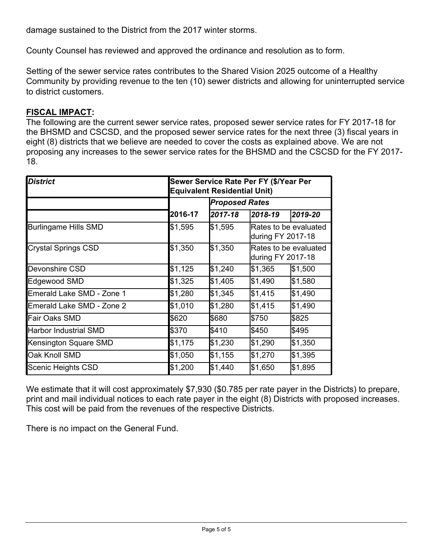damage sustained to the District from the 2017 winter storms.

County Counsel has reviewed and approved the ordinance and resolution as to form.

Setting of the sewer service rates contributes to the Shared Vision 2025 outcome of a Healthy Community by providing revenue to the ten (10) sewer districts and allowing for uninterrupted service to district customers.

#### **FISCAL IMPACT:**

The following are the current sewer service rates, proposed sewer service rates for FY 2017-18 for the BHSMD and CSCSD, and the proposed sewer service rates for the next three (3) fiscal years in eight (8) districts that we believe are needed to cover the costs as explained above. We are not proposing any increases to the sewer service rates for the BHSMD and the CSCSD for the FY 2017- 18.

| <b>District</b>              | Sewer Service Rate Per FY (\$/Year Per<br><b>Equivalent Residential Unit)</b> |                       |                                            |         |
|------------------------------|-------------------------------------------------------------------------------|-----------------------|--------------------------------------------|---------|
|                              |                                                                               | <b>Proposed Rates</b> |                                            |         |
|                              | 2016-17                                                                       | 2017-18               | 2018-19                                    | 2019-20 |
| <b>Burlingame Hills SMD</b>  | \$1,595                                                                       | \$1,595               | Rates to be evaluated<br>during FY 2017-18 |         |
| <b>Crystal Springs CSD</b>   | \$1,350                                                                       | \$1,350               | Rates to be evaluated<br>during FY 2017-18 |         |
| Devonshire CSD               | \$1,125                                                                       | \$1,240               | \$1,365                                    | \$1,500 |
| Edgewood SMD                 | \$1,325                                                                       | \$1,405               | \$1,490                                    | \$1,580 |
| Emerald Lake SMD - Zone 1    | \$1,280                                                                       | \$1,345               | \$1,415                                    | \$1,490 |
| Emerald Lake SMD - Zone 2    | \$1,010                                                                       | \$1,280               | \$1,415                                    | \$1,490 |
| Fair Oaks SMD                | \$620                                                                         | \$680                 | \$750                                      | \$825   |
| <b>Harbor Industrial SMD</b> | \$370                                                                         | \$410                 | \$450                                      | \$495   |
| Kensington Square SMD        | \$1,175                                                                       | \$1,230               | \$1,290                                    | \$1,350 |
| Oak Knoll SMD                | \$1,050                                                                       | \$1,155               | \$1,270                                    | \$1,395 |
| Scenic Heights CSD           | \$1,200                                                                       | \$1,440               | \$1,650                                    | \$1,895 |

We estimate that it will cost approximately \$7,930 (\$0.785 per rate payer in the Districts) to prepare, print and mail individual notices to each rate payer in the eight (8) Districts with proposed increases. This cost will be paid from the revenues of the respective Districts.

There is no impact on the General Fund.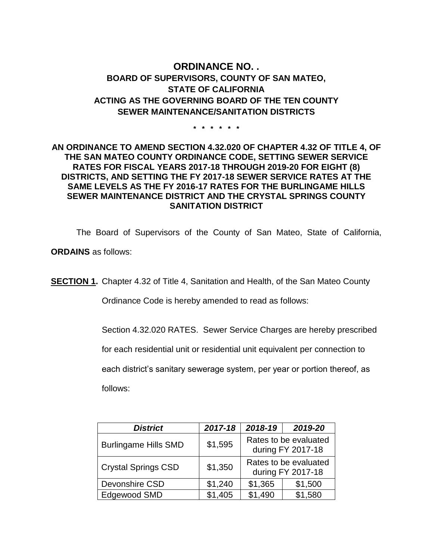## **ORDINANCE NO. . BOARD OF SUPERVISORS, COUNTY OF SAN MATEO, STATE OF CALIFORNIA ACTING AS THE GOVERNING BOARD OF THE TEN COUNTY SEWER MAINTENANCE/SANITATION DISTRICTS**

**\* \* \* \* \* \***

#### **AN ORDINANCE TO AMEND SECTION 4.32.020 OF CHAPTER 4.32 OF TITLE 4, OF THE SAN MATEO COUNTY ORDINANCE CODE, SETTING SEWER SERVICE RATES FOR FISCAL YEARS 2017-18 THROUGH 2019-20 FOR EIGHT (8) DISTRICTS, AND SETTING THE FY 2017-18 SEWER SERVICE RATES AT THE SAME LEVELS AS THE FY 2016-17 RATES FOR THE BURLINGAME HILLS SEWER MAINTENANCE DISTRICT AND THE CRYSTAL SPRINGS COUNTY SANITATION DISTRICT**

The Board of Supervisors of the County of San Mateo, State of California,

**ORDAINS** as follows:

**SECTION 1.** Chapter 4.32 of Title 4, Sanitation and Health, of the San Mateo County

Ordinance Code is hereby amended to read as follows:

Section 4.32.020 RATES. Sewer Service Charges are hereby prescribed

for each residential unit or residential unit equivalent per connection to

each district's sanitary sewerage system, per year or portion thereof, as

follows:

| <b>District</b>             | 2017-18 | 2018-19                                    | 2019-20 |  |
|-----------------------------|---------|--------------------------------------------|---------|--|
| <b>Burlingame Hills SMD</b> | \$1,595 | Rates to be evaluated<br>during FY 2017-18 |         |  |
| <b>Crystal Springs CSD</b>  | \$1,350 | Rates to be evaluated<br>during FY 2017-18 |         |  |
| Devonshire CSD              | \$1,240 | \$1,365                                    | \$1,500 |  |
| Edgewood SMD                | \$1,405 | \$1,490                                    | \$1,580 |  |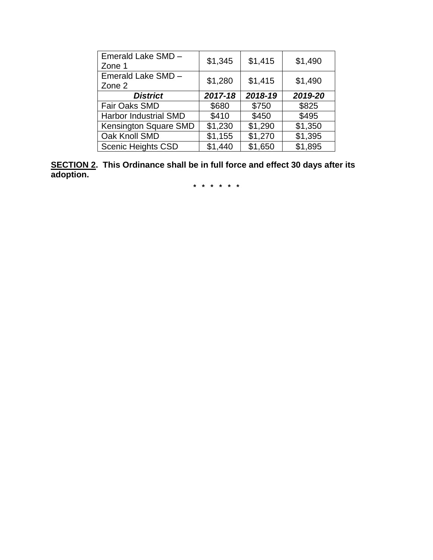| Emerald Lake SMD -<br>Zone 1 | \$1,345 | \$1,415 | \$1,490 |
|------------------------------|---------|---------|---------|
| Emerald Lake SMD -<br>Zone 2 | \$1,280 | \$1,415 | \$1,490 |
| <b>District</b>              | 2017-18 | 2018-19 | 2019-20 |
| Fair Oaks SMD                | \$680   | \$750   | \$825   |
| <b>Harbor Industrial SMD</b> | \$410   | \$450   | \$495   |
| Kensington Square SMD        | \$1,230 | \$1,290 | \$1,350 |
| Oak Knoll SMD                | \$1,155 | \$1,270 | \$1,395 |
| <b>Scenic Heights CSD</b>    | \$1,440 | \$1,650 | \$1,895 |

**SECTION 2. This Ordinance shall be in full force and effect 30 days after its adoption.**

**\* \* \* \* \* \***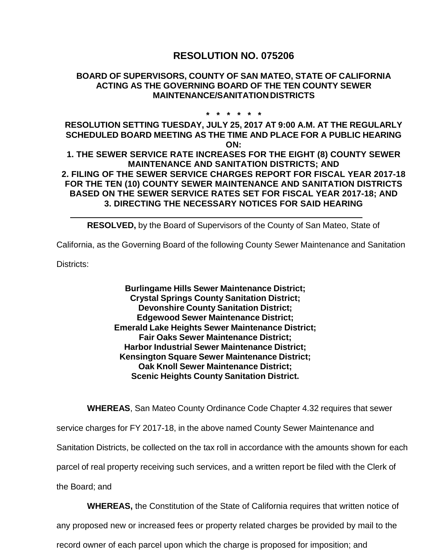# **RESOLUTION NO. 075206**

#### **BOARD OF SUPERVISORS, COUNTY OF SAN MATEO, STATE OF CALIFORNIA ACTING AS THE GOVERNING BOARD OF THE TEN COUNTY SEWER MAINTENANCE/SANITATION DISTRICTS**

#### **\* \* \* \* \* \***

**RESOLUTION SETTING TUESDAY, JULY 25, 2017 AT 9:00 A.M. AT THE REGULARLY SCHEDULED BOARD MEETING AS THE TIME AND PLACE FOR A PUBLIC HEARING ON:** 

**1. THE SEWER SERVICE RATE INCREASES FOR THE EIGHT (8) COUNTY SEWER MAINTENANCE AND SANITATION DISTRICTS; AND 2. FILING OF THE SEWER SERVICE CHARGES REPORT FOR FISCAL YEAR 2017-18 FOR THE TEN (10) COUNTY SEWER MAINTENANCE AND SANITATION DISTRICTS BASED ON THE SEWER SERVICE RATES SET FOR FISCAL YEAR 2017-18; AND 3. DIRECTING THE NECESSARY NOTICES FOR SAID HEARING** 

**RESOLVED,** by the Board of Supervisors of the County of San Mateo, State of

California, as the Governing Board of the following County Sewer Maintenance and Sanitation

Districts:

**Burlingame Hills Sewer Maintenance District; Crystal Springs County Sanitation District; Devonshire County Sanitation District; Edgewood Sewer Maintenance District; Emerald Lake Heights Sewer Maintenance District; Fair Oaks Sewer Maintenance District; Harbor Industrial Sewer Maintenance District; Kensington Square Sewer Maintenance District; Oak Knoll Sewer Maintenance District; Scenic Heights County Sanitation District.**

**WHEREAS**, San Mateo County Ordinance Code Chapter 4.32 requires that sewer

service charges for FY 2017-18, in the above named County Sewer Maintenance and

Sanitation Districts, be collected on the tax roll in accordance with the amounts shown for each

parcel of real property receiving such services, and a written report be filed with the Clerk of

the Board; and

**WHEREAS,** the Constitution of the State of California requires that written notice of

any proposed new or increased fees or property related charges be provided by mail to the

record owner of each parcel upon which the charge is proposed for imposition; and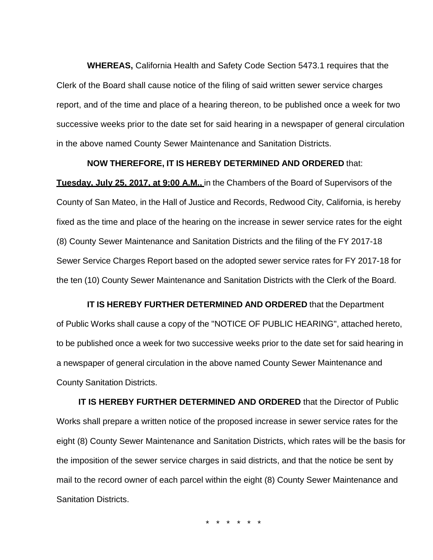**WHEREAS,** California Health and Safety Code Section 5473.1 requires that the Clerk of the Board shall cause notice of the filing of said written sewer service charges report, and of the time and place of a hearing thereon, to be published once a week for two successive weeks prior to the date set for said hearing in a newspaper of general circulation in the above named County Sewer Maintenance and Sanitation Districts.

#### **NOW THEREFORE, IT IS HEREBY DETERMINED AND ORDERED** that:

**Tuesday, July 25, 2017, at 9:00 A.M.,** in the Chambers of the Board of Supervisors of the County of San Mateo, in the Hall of Justice and Records, Redwood City, California, is hereby fixed as the time and place of the hearing on the increase in sewer service rates for the eight (8) County Sewer Maintenance and Sanitation Districts and the filing of the FY 2017-18 Sewer Service Charges Report based on the adopted sewer service rates for FY 2017-18 for the ten (10) County Sewer Maintenance and Sanitation Districts with the Clerk of the Board.

**IT IS HEREBY FURTHER DETERMINED AND ORDERED** that the Department of Public Works shall cause a copy of the "NOTICE OF PUBLIC HEARING", attached hereto, to be published once a week for two successive weeks prior to the date set for said hearing in a newspaper of general circulation in the above named County Sewer Maintenance and County Sanitation Districts.

**IT IS HEREBY FURTHER DETERMINED AND ORDERED** that the Director of Public Works shall prepare a written notice of the proposed increase in sewer service rates for the eight (8) County Sewer Maintenance and Sanitation Districts, which rates will be the basis for the imposition of the sewer service charges in said districts, and that the notice be sent by mail to the record owner of each parcel within the eight (8) County Sewer Maintenance and Sanitation Districts.

\* \* \* \* \* \*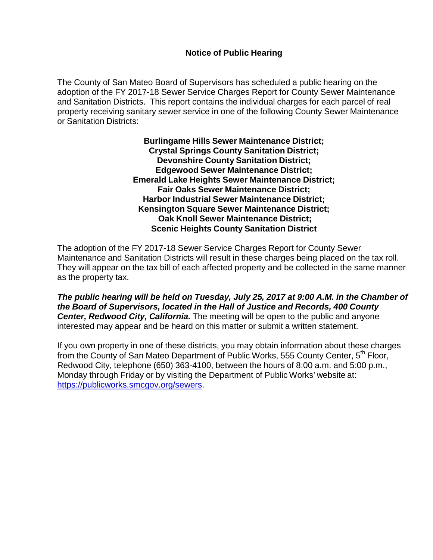#### **Notice of Public Hearing**

The County of San Mateo Board of Supervisors has scheduled a public hearing on the adoption of the FY 2017-18 Sewer Service Charges Report for County Sewer Maintenance and Sanitation Districts. This report contains the individual charges for each parcel of real property receiving sanitary sewer service in one of the following County Sewer Maintenance or Sanitation Districts:

> **Burlingame Hills Sewer Maintenance District; Crystal Springs County Sanitation District; Devonshire County Sanitation District; Edgewood Sewer Maintenance District; Emerald Lake Heights Sewer Maintenance District; Fair Oaks Sewer Maintenance District; Harbor Industrial Sewer Maintenance District; Kensington Square Sewer Maintenance District; Oak Knoll Sewer Maintenance District; Scenic Heights County Sanitation District**

The adoption of the FY 2017-18 Sewer Service Charges Report for County Sewer Maintenance and Sanitation Districts will result in these charges being placed on the tax roll. They will appear on the tax bill of each affected property and be collected in the same manner as the property tax.

*The public hearing will be held on Tuesday, July 25, 2017 at 9:00 A.M. in the Chamber of the Board of Supervisors, located in the Hall of Justice and Records, 400 County*  **Center, Redwood City, California.** The meeting will be open to the public and anyone interested may appear and be heard on this matter or submit a written statement.

If you own property in one of these districts, you may obtain information about these charges from the County of San Mateo Department of Public Works, 555 County Center, 5<sup>th</sup> Floor, Redwood City, telephone (650) 363-4100, between the hours of 8:00 a.m. and 5:00 p.m., Monday through Friday or by visiting the Department of Public Works' website at: https://publicworks.smcgov.org/sewers.